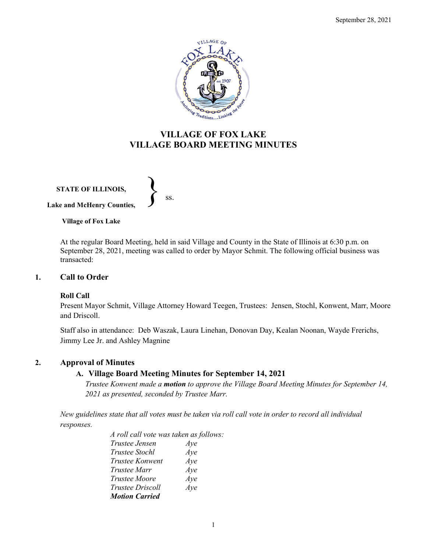

# **VILLAGE OF FOX LAKE VILLAGE BOARD MEETING MINUTES**

**STATE OF ILLINOIS, Lake and McHenry Counties,**   $\left\{\right\}$  ss.

**Village of Fox Lake**

At the regular Board Meeting, held in said Village and County in the State of Illinois at 6:30 p.m. on September 28, 2021, meeting was called to order by Mayor Schmit. The following official business was transacted:

# **1. Call to Order**

### **Roll Call**

Present Mayor Schmit, Village Attorney Howard Teegen, Trustees: Jensen, Stochl, Konwent, Marr, Moore and Driscoll.

Staff also in attendance: Deb Waszak, Laura Linehan, Donovan Day, Kealan Noonan, Wayde Frerichs, Jimmy Lee Jr. and Ashley Magnine

### **2. Approval of Minutes**

### **A. Village Board Meeting Minutes for September 14, 2021**

*Trustee Konwent made a motion to approve the Village Board Meeting Minutes for September 14, 2021 as presented, seconded by Trustee Marr.* 

*New guidelines state that all votes must be taken via roll call vote in order to record all individual responses.* 

> *A roll call vote was taken as follows: Trustee Jensen Aye Trustee Stochl Aye Trustee Konwent Aye Trustee Marr Aye Trustee Moore Aye Trustee Driscoll Aye Motion Carried*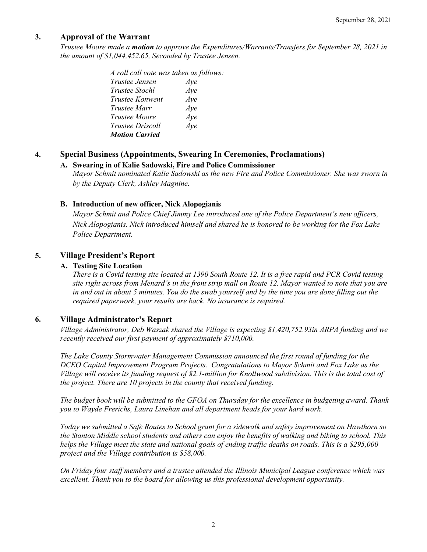# **3. Approval of the Warrant**

*Trustee Moore made a motion to approve the Expenditures/Warrants/Transfers for September 28, 2021 in the amount of \$1,044,452.65, Seconded by Trustee Jensen.*

> *A roll call vote was taken as follows: Trustee Jensen Aye Trustee Stochl Aye Trustee Konwent Aye Trustee Marr Aye Trustee Moore Aye Trustee Driscoll Aye Motion Carried*

# **4. Special Business (Appointments, Swearing In Ceremonies, Proclamations)**

### **A. Swearing in of Kalie Sadowski, Fire and Police Commissioner**

*Mayor Schmit nominated Kalie Sadowski as the new Fire and Police Commissioner. She was sworn in by the Deputy Clerk, Ashley Magnine.*

#### **B. Introduction of new officer, Nick Alopogianis**

*Mayor Schmit and Police Chief Jimmy Lee introduced one of the Police Department's new officers, Nick Alopogianis. Nick introduced himself and shared he is honored to be working for the Fox Lake Police Department.* 

### **5. Village President's Report**

### **A. Testing Site Location**

*There is a Covid testing site located at 1390 South Route 12. It is a free rapid and PCR Covid testing site right across from Menard's in the front strip mall on Route 12. Mayor wanted to note that you are in and out in about 5 minutes. You do the swab yourself and by the time you are done filling out the required paperwork, your results are back. No insurance is required.* 

### **6. Village Administrator's Report**

*Village Administrator, Deb Waszak shared the Village is expecting \$1,420,752.93in ARPA funding and we recently received our first payment of approximately \$710,000.* 

*The Lake County Stormwater Management Commission announced the first round of funding for the DCEO Capital Improvement Program Projects. Congratulations to Mayor Schmit and Fox Lake as the Village will receive its funding request of \$2.1-million for Knollwood subdivision. This is the total cost of the project. There are 10 projects in the county that received funding.* 

*The budget book will be submitted to the GFOA on Thursday for the excellence in budgeting award. Thank you to Wayde Frerichs, Laura Linehan and all department heads for your hard work.*

*Today we submitted a Safe Routes to School grant for a sidewalk and safety improvement on Hawthorn so the Stanton Middle school students and others can enjoy the benefits of walking and biking to school. This helps the Village meet the state and national goals of ending traffic deaths on roads. This is a \$295,000 project and the Village contribution is \$58,000.*

*On Friday four staff members and a trustee attended the Illinois Municipal League conference which was excellent. Thank you to the board for allowing us this professional development opportunity.*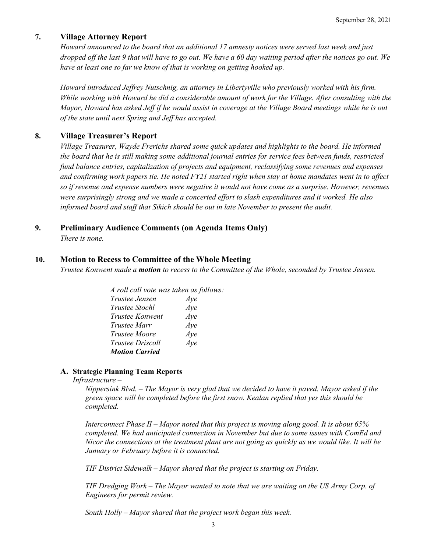### **7. Village Attorney Report**

*Howard announced to the board that an additional 17 amnesty notices were served last week and just dropped off the last 9 that will have to go out. We have a 60 day waiting period after the notices go out. We have at least one so far we know of that is working on getting hooked up.*

*Howard introduced Jeffrey Nutschnig, an attorney in Libertyville who previously worked with his firm. While working with Howard he did a considerable amount of work for the Village. After consulting with the Mayor, Howard has asked Jeff if he would assist in coverage at the Village Board meetings while he is out of the state until next Spring and Jeff has accepted.* 

# **8. Village Treasurer's Report**

*Village Treasurer, Wayde Frerichs shared some quick updates and highlights to the board. He informed the board that he is still making some additional journal entries for service fees between funds, restricted fund balance entries, capitalization of projects and equipment, reclassifying some revenues and expenses and confirming work papers tie. He noted FY21 started right when stay at home mandates went in to affect so if revenue and expense numbers were negative it would not have come as a surprise. However, revenues were surprisingly strong and we made a concerted effort to slash expenditures and it worked. He also informed board and staff that Sikich should be out in late November to present the audit.* 

# **9. Preliminary Audience Comments (on Agenda Items Only)**

*There is none.*

### **10. Motion to Recess to Committee of the Whole Meeting**

*Trustee Konwent made a motion to recess to the Committee of the Whole, seconded by Trustee Jensen.* 

| A roll call vote was taken as follows: |     |
|----------------------------------------|-----|
| <i>Trustee Jensen</i>                  | Aye |
| <i>Trustee Stochl</i>                  | Aye |
| Trustee Konwent                        | Aye |
| Trustee Marr                           | Aye |
| <i>Trustee Moore</i>                   | Aye |
| <i>Trustee Driscoll</i>                | Aye |
| <b>Motion Carried</b>                  |     |

### **A. Strategic Planning Team Reports**

#### *Infrastructure –*

*Nippersink Blvd. – The Mayor is very glad that we decided to have it paved. Mayor asked if the green space will be completed before the first snow. Kealan replied that yes this should be completed.* 

*Interconnect Phase II – Mayor noted that this project is moving along good. It is about 65% completed. We had anticipated connection in November but due to some issues with ComEd and Nicor the connections at the treatment plant are not going as quickly as we would like. It will be January or February before it is connected.* 

*TIF District Sidewalk – Mayor shared that the project is starting on Friday.*

*TIF Dredging Work – The Mayor wanted to note that we are waiting on the US Army Corp. of Engineers for permit review.*

*South Holly – Mayor shared that the project work began this week.*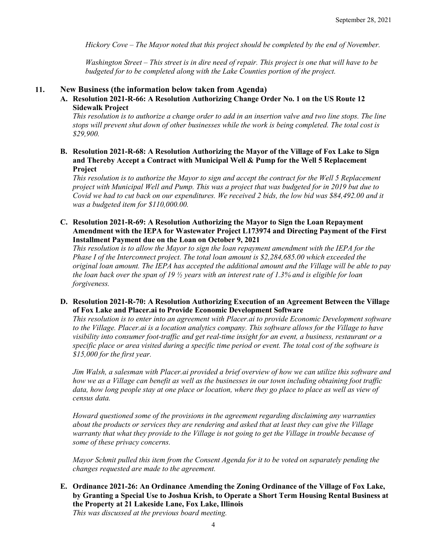*Hickory Cove – The Mayor noted that this project should be completed by the end of November.*

*Washington Street – This street is in dire need of repair. This project is one that will have to be budgeted for to be completed along with the Lake Counties portion of the project.* 

#### **11. New Business (the information below taken from Agenda)**

**A. Resolution 2021-R-66: A Resolution Authorizing Change Order No. 1 on the US Route 12 Sidewalk Project**

*This resolution is to authorize a change order to add in an insertion valve and two line stops. The line stops will prevent shut down of other businesses while the work is being completed. The total cost is \$29,900.* 

**B. Resolution 2021-R-68: A Resolution Authorizing the Mayor of the Village of Fox Lake to Sign and Thereby Accept a Contract with Municipal Well & Pump for the Well 5 Replacement Project**

*This resolution is to authorize the Mayor to sign and accept the contract for the Well 5 Replacement project with Municipal Well and Pump. This was a project that was budgeted for in 2019 but due to Covid we had to cut back on our expenditures. We received 2 bids, the low bid was \$84,492.00 and it was a budgeted item for \$110,000.00.* 

**C. Resolution 2021-R-69: A Resolution Authorizing the Mayor to Sign the Loan Repayment Amendment with the IEPA for Wastewater Project L173974 and Directing Payment of the First Installment Payment due on the Loan on October 9, 2021**

*This resolution is to allow the Mayor to sign the loan repayment amendment with the IEPA for the Phase I of the Interconnect project. The total loan amount is \$2,284,685.00 which exceeded the original loan amount. The IEPA has accepted the additional amount and the Village will be able to pay the loan back over the span of 19 ½ years with an interest rate of 1.3% and is eligible for loan forgiveness.* 

**D. Resolution 2021-R-70: A Resolution Authorizing Execution of an Agreement Between the Village of Fox Lake and Placer.ai to Provide Economic Development Software**

*This resolution is to enter into an agreement with Placer.ai to provide Economic Development software to the Village. Placer.ai is a location analytics company. This software allows for the Village to have visibility into consumer foot-traffic and get real-time insight for an event, a business, restaurant or a specific place or area visited during a specific time period or event. The total cost of the software is \$15,000 for the first year.*

*Jim Walsh, a salesman with Placer.ai provided a brief overview of how we can utilize this software and how we as a Village can benefit as well as the businesses in our town including obtaining foot traffic*  data, how long people stay at one place or location, where they go place to place as well as view of *census data.*

*Howard questioned some of the provisions in the agreement regarding disclaiming any warranties about the products or services they are rendering and asked that at least they can give the Village warranty that what they provide to the Village is not going to get the Village in trouble because of some of these privacy concerns.* 

*Mayor Schmit pulled this item from the Consent Agenda for it to be voted on separately pending the changes requested are made to the agreement.*

**E. Ordinance 2021-26: An Ordinance Amending the Zoning Ordinance of the Village of Fox Lake, by Granting a Special Use to Joshua Krish, to Operate a Short Term Housing Rental Business at the Property at 21 Lakeside Lane, Fox Lake, Illinois** *This was discussed at the previous board meeting.*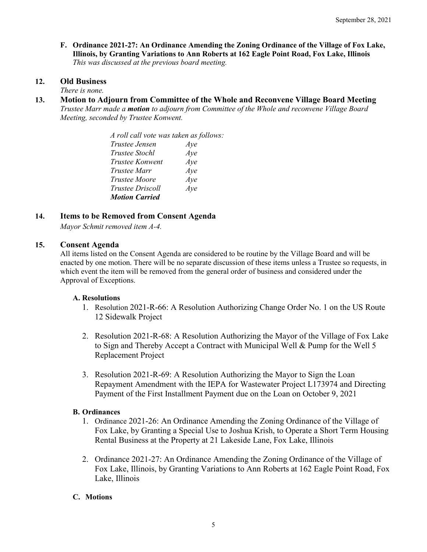**F. Ordinance 2021-27: An Ordinance Amending the Zoning Ordinance of the Village of Fox Lake, Illinois, by Granting Variations to Ann Roberts at 162 Eagle Point Road, Fox Lake, Illinois** *This was discussed at the previous board meeting.*

# **12. Old Business**

*There is none.*

**13. Motion to Adjourn from Committee of the Whole and Reconvene Village Board Meeting** *Trustee Marr made a motion to adjourn from Committee of the Whole and reconvene Village Board Meeting, seconded by Trustee Konwent.* 

> *A roll call vote was taken as follows: Trustee Jensen Aye Trustee Stochl Aye Trustee Konwent Aye Trustee Marr Aye Trustee Moore Aye Trustee Driscoll Aye Motion Carried*

# **14. Items to be Removed from Consent Agenda**

*Mayor Schmit removed item A-4.*

### **15. Consent Agenda**

All items listed on the Consent Agenda are considered to be routine by the Village Board and will be enacted by one motion. There will be no separate discussion of these items unless a Trustee so requests, in which event the item will be removed from the general order of business and considered under the Approval of Exceptions.

### **A. Resolutions**

- 1. Resolution 2021-R-66: A Resolution Authorizing Change Order No. 1 on the US Route 12 Sidewalk Project
- 2. Resolution 2021-R-68: A Resolution Authorizing the Mayor of the Village of Fox Lake to Sign and Thereby Accept a Contract with Municipal Well & Pump for the Well 5 Replacement Project
- 3. Resolution 2021-R-69: A Resolution Authorizing the Mayor to Sign the Loan Repayment Amendment with the IEPA for Wastewater Project L173974 and Directing Payment of the First Installment Payment due on the Loan on October 9, 2021

### **B. Ordinances**

- 1. Ordinance 2021-26: An Ordinance Amending the Zoning Ordinance of the Village of Fox Lake, by Granting a Special Use to Joshua Krish, to Operate a Short Term Housing Rental Business at the Property at 21 Lakeside Lane, Fox Lake, Illinois
- 2. Ordinance 2021-27: An Ordinance Amending the Zoning Ordinance of the Village of Fox Lake, Illinois, by Granting Variations to Ann Roberts at 162 Eagle Point Road, Fox Lake, Illinois

### **C. Motions**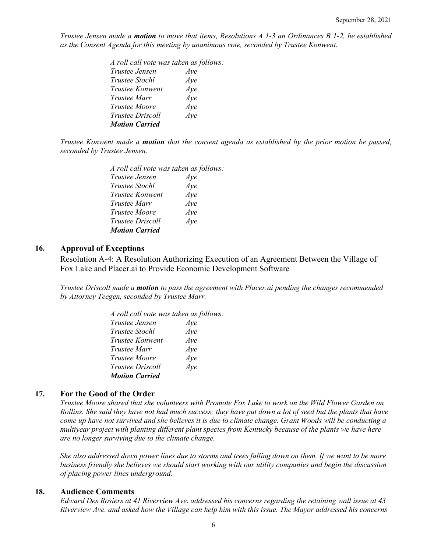*Trustee Jensen made a motion to move that items, Resolutions A 1-3 an Ordinances B 1-2, be established as the Consent Agenda for this meeting by unanimous vote, seconded by Trustee Konwent.*

| A roll call vote was taken as follows: |     |
|----------------------------------------|-----|
| Trustee Jensen                         | Aye |
| Trustee Stochl                         | Aye |
| Trustee Konwent                        | Aye |
| Trustee Marr                           | Aye |
| Trustee Moore                          | Aye |
| Trustee Driscoll                       | Aye |
| <b>Motion Carried</b>                  |     |

*Trustee Konwent made a motion that the consent agenda as established by the prior motion be passed, seconded by Trustee Jensen.*

| A roll call vote was taken as follows: |     |
|----------------------------------------|-----|
| <i>Trustee Jensen</i>                  | Aye |
| <i>Trustee Stochl</i>                  | Aye |
| <i>Trustee Konwent</i>                 | Aye |
| <i>Trustee Marr</i>                    | Aye |
| Trustee Moore                          | Aye |
| <i>Trustee Driscoll</i>                | Aye |
| <b>Motion Carried</b>                  |     |

#### **16. Approval of Exceptions**

Resolution A-4: A Resolution Authorizing Execution of an Agreement Between the Village of Fox Lake and Placer.ai to Provide Economic Development Software

*Trustee Driscoll made a motion to pass the agreement with Placer.ai pending the changes recommended by Attorney Teegen, seconded by Trustee Marr.*

| A roll call vote was taken as follows: |     |
|----------------------------------------|-----|
| <i>Trustee Jensen</i>                  | Aye |
| Trustee Stochl                         | Aye |
| Trustee Konwent                        | Aye |
| Trustee Marr                           | Aye |
| <i>Trustee Moore</i>                   | Aye |
| <i>Trustee Driscoll</i>                | Ave |
| <b>Motion Carried</b>                  |     |

#### **17. For the Good of the Order**

*Trustee Moore shared that she volunteers with Promote Fox Lake to work on the Wild Flower Garden on Rollins. She said they have not had much success; they have put down a lot of seed but the plants that have come up have not survived and she believes it is due to climate change. Grant Woods will be conducting a multiyear project with planting different plant species from Kentucky because of the plants we have here are no longer surviving due to the climate change.* 

*She also addressed down power lines due to storms and trees falling down on them. If we want to be more business friendly she believes we should start working with our utility companies and begin the discussion of placing power lines underground.* 

### **18. Audience Comments**

*Edward Des Rosiers at 41 Riverview Ave. addressed his concerns regarding the retaining wall issue at 43 Riverview Ave. and asked how the Village can help him with this issue. The Mayor addressed his concerns*